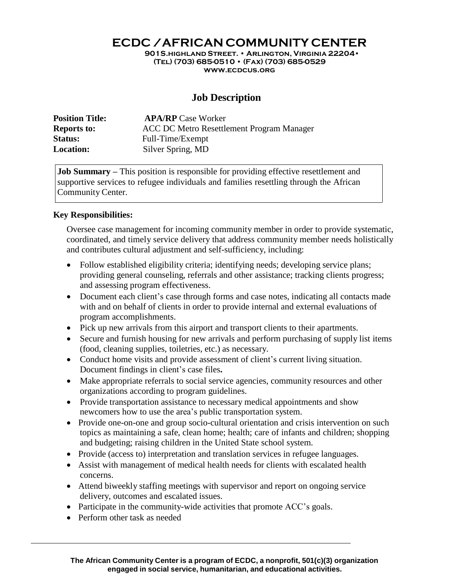**ECDC /AFRICAN COMMUNITY CENTER**

**901S.highland Street. • Arlington, Virginia 22204• (Tel) (703) 685-0510 • (Fax) (703) 685-0529 [www.ecdcus.org](http://www.ecdcus.org/)**

# **Job Description**

| <b>Position Title:</b> | <b>APA/RP</b> Case Worker                 |
|------------------------|-------------------------------------------|
| <b>Reports to:</b>     | ACC DC Metro Resettlement Program Manager |
| <b>Status:</b>         | Full-Time/Exempt                          |
| <b>Location:</b>       | Silver Spring, MD                         |

**Job Summary** – This position is responsible for providing effective resettlement and supportive services to refugee individuals and families resettling through the African Community Center.

# **Key Responsibilities:**

Oversee case management for incoming community member in order to provide systematic, coordinated, and timely service delivery that address community member needs holistically and contributes cultural adjustment and self-sufficiency, including:

- Follow established eligibility criteria; identifying needs; developing service plans; providing general counseling, referrals and other assistance; tracking clients progress; and assessing program effectiveness.
- Document each client's case through forms and case notes, indicating all contacts made with and on behalf of clients in order to provide internal and external evaluations of program accomplishments.
- Pick up new arrivals from this airport and transport clients to their apartments.
- Secure and furnish housing for new arrivals and perform purchasing of supply list items (food, cleaning supplies, toiletries, etc.) as necessary.
- Conduct home visits and provide assessment of client's current living situation. Document findings in client's case files**.**
- Make appropriate referrals to social service agencies, community resources and other organizations according to program guidelines.
- Provide transportation assistance to necessary medical appointments and show newcomers how to use the area's public transportation system.
- Provide one-on-one and group socio-cultural orientation and crisis intervention on such topics as maintaining a safe, clean home; health; care of infants and children; shopping and budgeting; raising children in the United State school system.
- Provide (access to) interpretation and translation services in refugee languages.
- Assist with management of medical health needs for clients with escalated health concerns.
- Attend biweekly staffing meetings with supervisor and report on ongoing service delivery, outcomes and escalated issues.
- Participate in the community-wide activities that promote ACC's goals.
- Perform other task as needed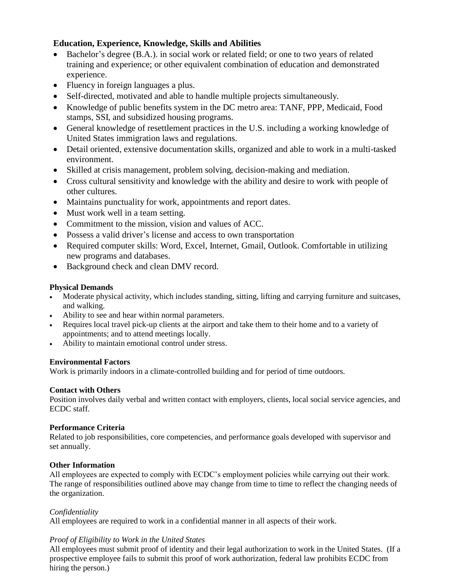# **Education, Experience, Knowledge, Skills and Abilities**

- Bachelor's degree (B.A.). in social work or related field; or one to two years of related training and experience; or other equivalent combination of education and demonstrated experience.
- Fluency in foreign languages a plus.
- Self-directed, motivated and able to handle multiple projects simultaneously.
- Knowledge of public benefits system in the DC metro area: TANF, PPP, Medicaid, Food stamps, SSI, and subsidized housing programs.
- General knowledge of resettlement practices in the U.S. including a working knowledge of United States immigration laws and regulations.
- Detail oriented, extensive documentation skills, organized and able to work in a multi-tasked environment.
- Skilled at crisis management, problem solving, decision-making and mediation.
- Cross cultural sensitivity and knowledge with the ability and desire to work with people of other cultures.
- Maintains punctuality for work, appointments and report dates.
- Must work well in a team setting.
- Commitment to the mission, vision and values of ACC.
- Possess a valid driver's license and access to own transportation
- Required computer skills: Word, Excel, Internet, Gmail, Outlook. Comfortable in utilizing new programs and databases.
- Background check and clean DMV record.

# **Physical Demands**

- Moderate physical activity, which includes standing, sitting, lifting and carrying furniture and suitcases, and walking.
- Ability to see and hear within normal parameters.
- Requires local travel pick-up clients at the airport and take them to their home and to a variety of appointments; and to attend meetings locally.
- Ability to maintain emotional control under stress.

# **Environmental Factors**

Work is primarily indoors in a climate-controlled building and for period of time outdoors.

#### **Contact with Others**

Position involves daily verbal and written contact with employers, clients, local social service agencies, and ECDC staff.

#### **Performance Criteria**

Related to job responsibilities, core competencies, and performance goals developed with supervisor and set annually.

#### **Other Information**

All employees are expected to comply with ECDC's employment policies while carrying out their work. The range of responsibilities outlined above may change from time to time to reflect the changing needs of the organization.

# *Confidentiality*

All employees are required to work in a confidential manner in all aspects of their work.

# *Proof of Eligibility to Work in the United States*

All employees must submit proof of identity and their legal authorization to work in the United States. (If a prospective employee fails to submit this proof of work authorization, federal law prohibits ECDC from hiring the person.)